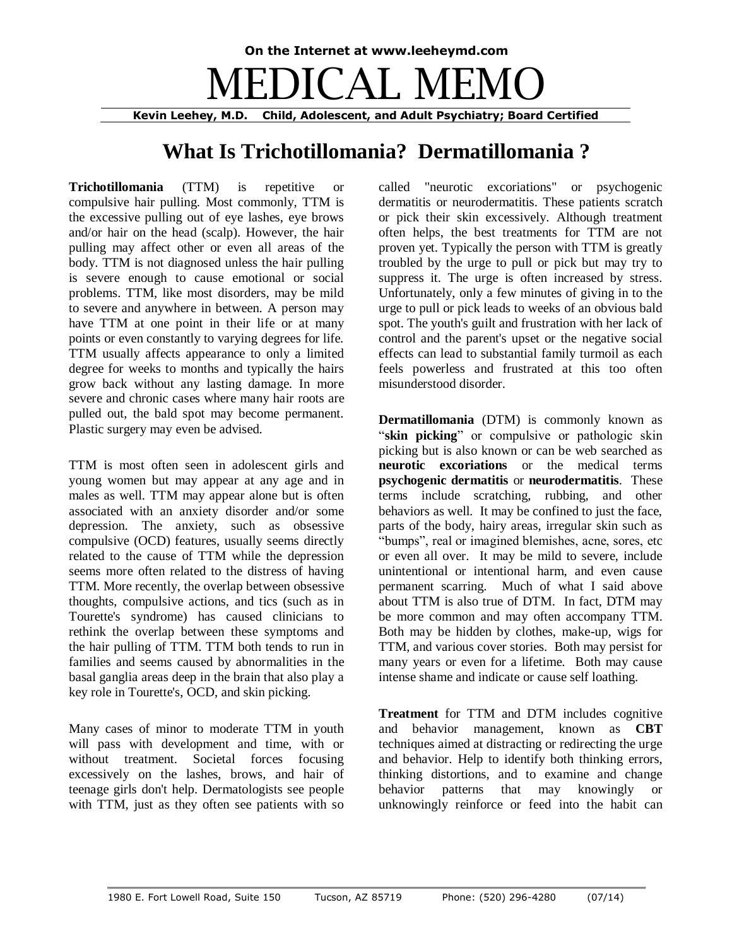## **On the Internet at www.leeheymd.com**  $\exists$ DICAL M **Kevin Leehey, M.D. Child, Adolescent, and Adult Psychiatry; Board Certified**

## **What Is Trichotillomania? Dermatillomania ?**

**Trichotillomania** (TTM) is repetitive or compulsive hair pulling*.* Most commonly, TTM is the excessive pulling out of eye lashes, eye brows and/or hair on the head (scalp). However, the hair pulling may affect other or even all areas of the body. TTM is not diagnosed unless the hair pulling is severe enough to cause emotional or social problems. TTM, like most disorders, may be mild to severe and anywhere in between. A person may have TTM at one point in their life or at many points or even constantly to varying degrees for life. TTM usually affects appearance to only a limited degree for weeks to months and typically the hairs grow back without any lasting damage. In more severe and chronic cases where many hair roots are pulled out, the bald spot may become permanent. Plastic surgery may even be advised.

TTM is most often seen in adolescent girls and young women but may appear at any age and in males as well. TTM may appear alone but is often associated with an anxiety disorder and/or some depression. The anxiety, such as obsessive compulsive (OCD) features, usually seems directly related to the cause of TTM while the depression seems more often related to the distress of having TTM. More recently, the overlap between obsessive thoughts, compulsive actions, and tics (such as in Tourette's syndrome) has caused clinicians to rethink the overlap between these symptoms and the hair pulling of TTM. TTM both tends to run in families and seems caused by abnormalities in the basal ganglia areas deep in the brain that also play a key role in Tourette's, OCD, and skin picking.

Many cases of minor to moderate TTM in youth will pass with development and time, with or without treatment. Societal forces focusing excessively on the lashes, brows, and hair of teenage girls don't help. Dermatologists see people with TTM, just as they often see patients with so called "neurotic excoriations" or psychogenic dermatitis or neurodermatitis. These patients scratch or pick their skin excessively. Although treatment often helps, the best treatments for TTM are not proven yet. Typically the person with TTM is greatly troubled by the urge to pull or pick but may try to suppress it. The urge is often increased by stress. Unfortunately, only a few minutes of giving in to the urge to pull or pick leads to weeks of an obvious bald spot. The youth's guilt and frustration with her lack of control and the parent's upset or the negative social effects can lead to substantial family turmoil as each feels powerless and frustrated at this too often misunderstood disorder.

**Dermatillomania** (DTM) is commonly known as "skin picking" or compulsive or pathologic skin picking but is also known or can be web searched as **neurotic excoriations** or the medical terms **psychogenic dermatitis** or **neurodermatitis**. These terms include scratching, rubbing, and other behaviors as well. It may be confined to just the face, parts of the body, hairy areas, irregular skin such as "bumps", real or imagined blemishes, acne, sores, etc or even all over. It may be mild to severe, include unintentional or intentional harm, and even cause permanent scarring. Much of what I said above about TTM is also true of DTM. In fact, DTM may be more common and may often accompany TTM. Both may be hidden by clothes, make-up, wigs for TTM, and various cover stories. Both may persist for many years or even for a lifetime. Both may cause intense shame and indicate or cause self loathing.

**Treatment** for TTM and DTM includes cognitive and behavior management, known as **CBT** techniques aimed at distracting or redirecting the urge and behavior. Help to identify both thinking errors, thinking distortions, and to examine and change behavior patterns that may knowingly or unknowingly reinforce or feed into the habit can